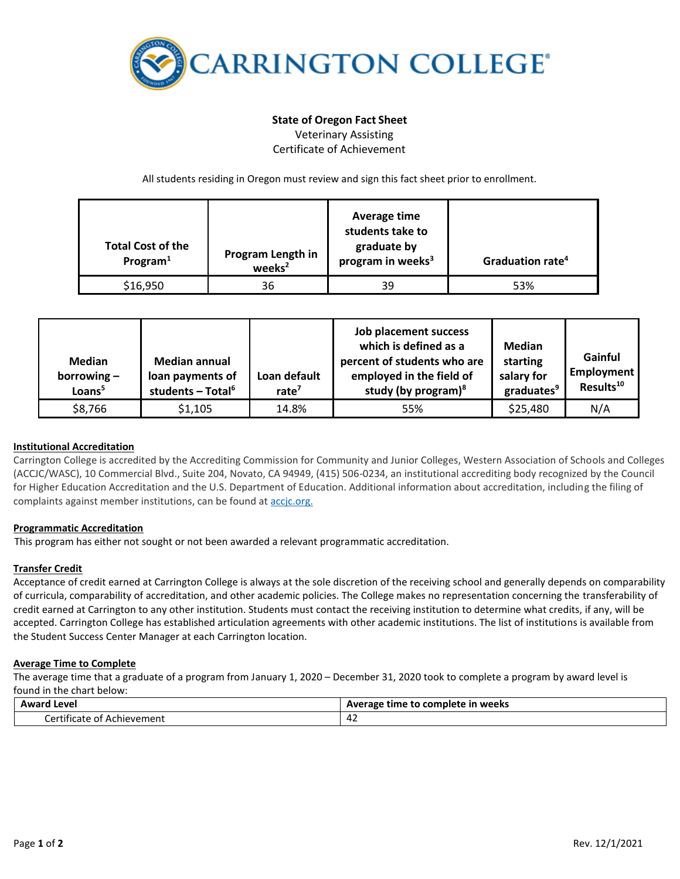

# **State of Oregon Fact Sheet**

Veterinary Assisting Certificate of Achievement

All students residing in Oregon must review and sign this fact sheet prior to enrollment.

| <b>Total Cost of the</b><br>Program $1$ | Program Length in<br>weeks <sup>2</sup> | Average time<br>students take to<br>graduate by<br>program in weeks <sup>3</sup> | Graduation rate <sup>4</sup> |
|-----------------------------------------|-----------------------------------------|----------------------------------------------------------------------------------|------------------------------|
| \$16,950                                | 36                                      | 39                                                                               | 53%                          |

| <b>Median</b><br>borrowing $-$<br>Loans <sup>5</sup> | <b>Median annual</b><br>loan payments of<br>students - Total <sup>6</sup> | Loan default<br>rate $7$ | Job placement success<br>which is defined as a<br>percent of students who are<br>employed in the field of<br>study (by program) $8$ | Median<br>starting<br>salary for<br>graduates <sup>9</sup> | Gainful<br>Employment<br>Results <sup>10</sup> |
|------------------------------------------------------|---------------------------------------------------------------------------|--------------------------|-------------------------------------------------------------------------------------------------------------------------------------|------------------------------------------------------------|------------------------------------------------|
| \$8,766                                              | \$1,105                                                                   | 14.8%                    | 55%                                                                                                                                 | \$25,480                                                   | N/A                                            |

## **Institutional Accreditation**

Carrington College is accredited by the Accrediting Commission for Community and Junior Colleges, Western Association of Schools and Colleges (ACCJC/WASC), 10 Commercial Blvd., Suite 204, Novato, CA 94949, (415) 506-0234, an institutional accrediting body recognized by the Council for Higher Education Accreditation and the U.S. Department of Education. Additional information about accreditation, including the filing of complaints against member institutions, can be found a[t accjc.org.](http://www.accjc.org/)

## **Programmatic Accreditation**

This program has either not sought or not been awarded a relevant programmatic accreditation.

## **Transfer Credit**

Acceptance of credit earned at Carrington College is always at the sole discretion of the receiving school and generally depends on comparability of curricula, comparability of accreditation, and other academic policies. The College makes no representation concerning the transferability of credit earned at Carrington to any other institution. Students must contact the receiving institution to determine what credits, if any, will be accepted. Carrington College has established articulation agreements with other academic institutions. The list of institutions is available from the Student Success Center Manager at each Carrington location.

## **Average Time to Complete**

The average time that a graduate of a program from January 1, 2020 – December 31, 2020 took to complete a program by award level is found in the chart below:

| Award                                                          | e time to complete in weeks |  |
|----------------------------------------------------------------|-----------------------------|--|
| Level                                                          | Average                     |  |
| .<br>$\sim$ rtif<br>Achievement<br>tificate<br>of A<br>- 1 - 1 | $\sim$<br>44 Z              |  |